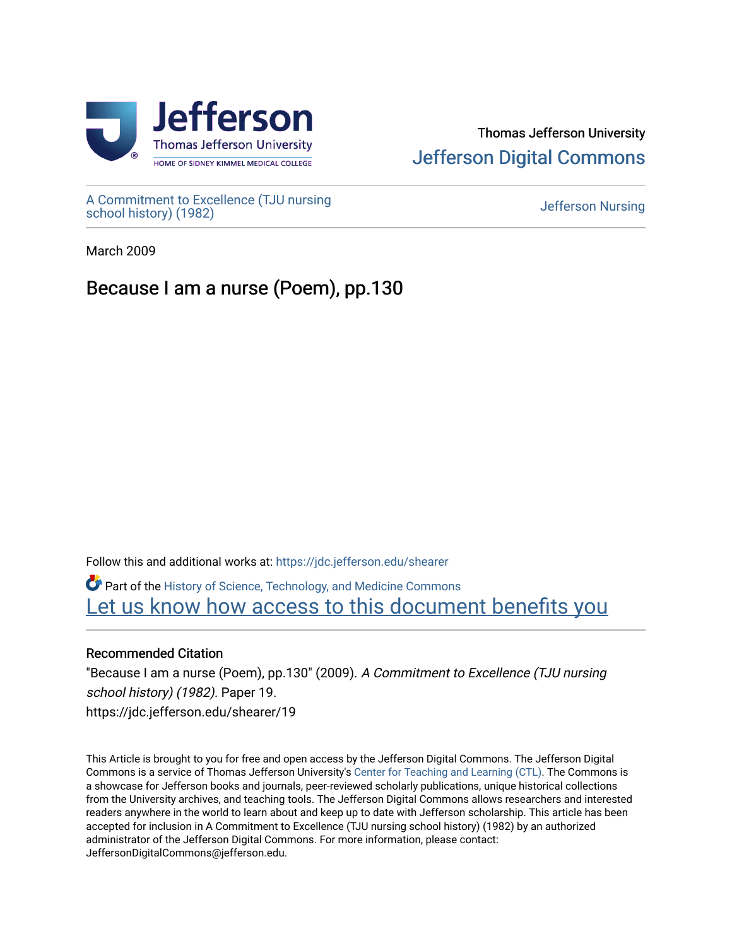

## Thomas Jefferson University [Jefferson Digital Commons](https://jdc.jefferson.edu/)

[A Commitment to Excellence \(TJU nursing](https://jdc.jefferson.edu/shearer) [school history\) \(1982\)](https://jdc.jefferson.edu/shearer) [Jefferson Nursing](https://jdc.jefferson.edu/jefferson_nursing) 

March 2009

# Because I am a nurse (Poem), pp.130

Follow this and additional works at: [https://jdc.jefferson.edu/shearer](https://jdc.jefferson.edu/shearer?utm_source=jdc.jefferson.edu%2Fshearer%2F19&utm_medium=PDF&utm_campaign=PDFCoverPages)

Part of the [History of Science, Technology, and Medicine Commons](http://network.bepress.com/hgg/discipline/500?utm_source=jdc.jefferson.edu%2Fshearer%2F19&utm_medium=PDF&utm_campaign=PDFCoverPages)  [Let us know how access to this document benefits you](https://library.jefferson.edu/forms/jdc/index.cfm) 

### Recommended Citation

"Because I am a nurse (Poem), pp.130" (2009). A Commitment to Excellence (TJU nursing school history) (1982). Paper 19. https://jdc.jefferson.edu/shearer/19

This Article is brought to you for free and open access by the Jefferson Digital Commons. The Jefferson Digital Commons is a service of Thomas Jefferson University's [Center for Teaching and Learning \(CTL\)](http://www.jefferson.edu/university/teaching-learning.html/). The Commons is a showcase for Jefferson books and journals, peer-reviewed scholarly publications, unique historical collections from the University archives, and teaching tools. The Jefferson Digital Commons allows researchers and interested readers anywhere in the world to learn about and keep up to date with Jefferson scholarship. This article has been accepted for inclusion in A Commitment to Excellence (TJU nursing school history) (1982) by an authorized administrator of the Jefferson Digital Commons. For more information, please contact: JeffersonDigitalCommons@jefferson.edu.